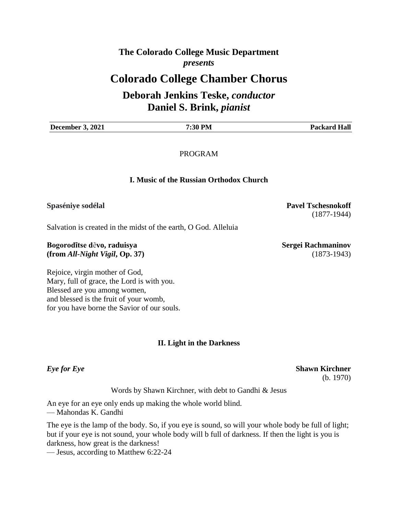### **The Colorado College Music Department** *presents*

## **Colorado College Chamber Chorus**

## **Deborah Jenkins Teske,** *conductor* **Daniel S. Brink,** *pianist*

| December 3,<br>2021 | <b>all</b> |
|---------------------|------------|
|                     |            |

PROGRAM

#### **I. Music of the Russian Orthodox Church**

#### **Spaséniye sodélal Pavel Tschesnokoff**

Salvation is created in the midst of the earth, O God. Alleluia

#### **Bogorodītse dēvo, raduisya Sergei Rachmaninov Sergei Rachmaninov (from** *All-Night Vigil***, Op. 37)** (1873-1943)

Rejoice, virgin mother of God, Mary, full of grace, the Lord is with you. Blessed are you among women, and blessed is the fruit of your womb, for you have borne the Savior of our souls.

#### **II. Light in the Darkness**

Words by Shawn Kirchner, with debt to Gandhi & Jesus

An eye for an eye only ends up making the whole world blind.

— Mahondas K. Gandhi

The eye is the lamp of the body. So, if you eye is sound, so will your whole body be full of light; but if your eye is not sound, your whole body will b full of darkness. If then the light is you is darkness, how great is the darkness!

— Jesus, according to Matthew 6:22-24

(1877-1944)

*Eye for Eye* **Shawn Kirchner** (b. 1970)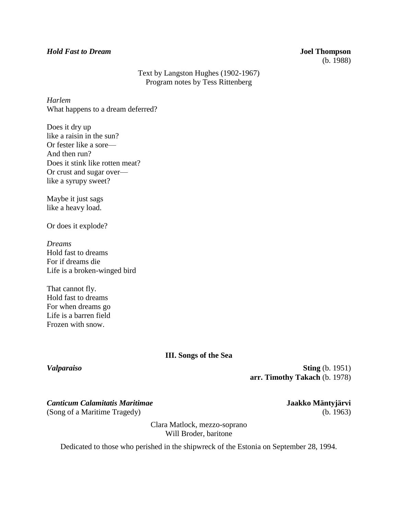#### *Hold Fast to Dream* **Joel Thompson**

# (b. 1988)

#### Text by Langston Hughes (1902-1967) Program notes by Tess Rittenberg

*Harlem* What happens to a dream deferred?

Does it dry up like a raisin in the sun? Or fester like a sore— And then run? Does it stink like rotten meat? Or crust and sugar over like a syrupy sweet?

Maybe it just sags like a heavy load.

Or does it explode?

*Dreams* Hold fast to dreams For if dreams die Life is a broken-winged bird

That cannot fly. Hold fast to dreams For when dreams go Life is a barren field Frozen with snow.

#### **III. Songs of the Sea**

*Valparaiso* **Sting** (b. 1951) **arr. Timothy Takach** (b. 1978)

*Canticum Calamitatis Maritimae* **Jaakko Mäntyjärvi**  (Song of a Maritime Tragedy) (b. 1963)

Clara Matlock, mezzo-soprano Will Broder, baritone

Dedicated to those who perished in the shipwreck of the Estonia on September 28, 1994.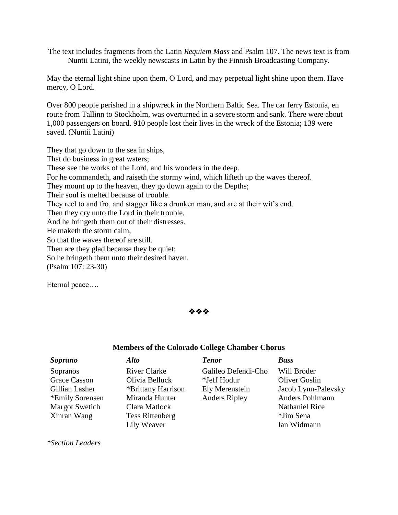The text includes fragments from the Latin *Requiem Mass* and Psalm 107. The news text is from Nuntii Latini, the weekly newscasts in Latin by the Finnish Broadcasting Company.

May the eternal light shine upon them, O Lord, and may perpetual light shine upon them. Have mercy, O Lord.

Over 800 people perished in a shipwreck in the Northern Baltic Sea. The car ferry Estonia, en route from Tallinn to Stockholm, was overturned in a severe storm and sank. There were about 1,000 passengers on board. 910 people lost their lives in the wreck of the Estonia; 139 were saved. (Nuntii Latini)

They that go down to the sea in ships, That do business in great waters; These see the works of the Lord, and his wonders in the deep. For he commandeth, and raiseth the stormy wind, which lifteth up the waves thereof. They mount up to the heaven, they go down again to the Depths; Their soul is melted because of trouble. They reel to and fro, and stagger like a drunken man, and are at their wit's end. Then they cry unto the Lord in their trouble, And he bringeth them out of their distresses. He maketh the storm calm, So that the waves thereof are still. Then are they glad because they be quiet; So he bringeth them unto their desired haven. (Psalm 107: 23-30)

Eternal peace….



#### **Members of the Colorado College Chamber Chorus**

| <i>Soprano</i>        | Alto                   | <b>Tenor</b>         | <b>Bass</b>           |
|-----------------------|------------------------|----------------------|-----------------------|
| Sopranos              | <b>River Clarke</b>    | Galileo Defendi-Cho  | Will Broder           |
| <b>Grace Casson</b>   | Olivia Belluck         | *Jeff Hodur          | <b>Oliver Goslin</b>  |
| Gillian Lasher        | *Brittany Harrison     | Ely Merenstein       | Jacob Lynn-Palevsky   |
| *Emily Sorensen       | Miranda Hunter         | <b>Anders Ripley</b> | Anders Pohlmann       |
| <b>Margot Swetich</b> | Clara Matlock          |                      | <b>Nathaniel Rice</b> |
| Xinran Wang           | <b>Tess Rittenberg</b> |                      | *Jim Sena             |
|                       | Lily Weaver            |                      | Ian Widmann           |

*\*Section Leaders*